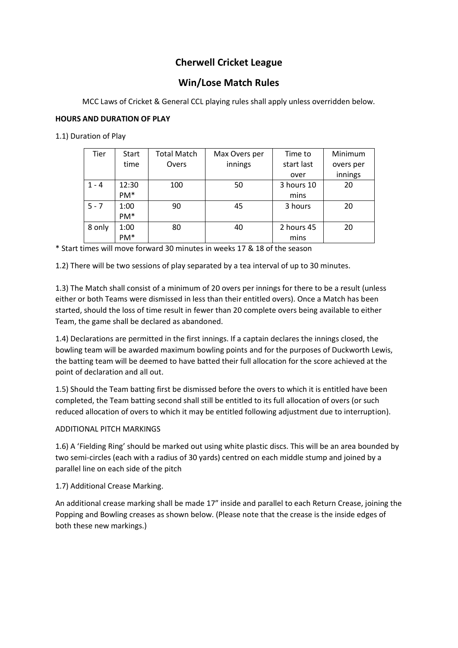# **Cherwell Cricket League**

# **Win/Lose Match Rules**

MCC Laws of Cricket & General CCL playing rules shall apply unless overridden below.

# **HOURS AND DURATION OF PLAY**

1.1) Duration of Play

| Tier    | Start           | <b>Total Match</b> | Max Overs per | Time to    | Minimum   |
|---------|-----------------|--------------------|---------------|------------|-----------|
|         | time            | Overs              | innings       | start last | overs per |
|         |                 |                    |               | over       | innings   |
| $1 - 4$ | 12:30           | 100                | 50            | 3 hours 10 | 20        |
|         | PM <sup>*</sup> |                    |               | mins       |           |
| $5 - 7$ | 1:00            | 90                 | 45            | 3 hours    | 20        |
|         | PM <sup>*</sup> |                    |               |            |           |
| 8 only  | 1:00            | 80                 | 40            | 2 hours 45 | 20        |
|         | PM <sup>*</sup> |                    |               | mins       |           |

\* Start times will move forward 30 minutes in weeks 17 & 18 of the season

1.2) There will be two sessions of play separated by a tea interval of up to 30 minutes.

1.3) The Match shall consist of a minimum of 20 overs per innings for there to be a result (unless either or both Teams were dismissed in less than their entitled overs). Once a Match has been started, should the loss of time result in fewer than 20 complete overs being available to either Team, the game shall be declared as abandoned.

1.4) Declarations are permitted in the first innings. If a captain declares the innings closed, the bowling team will be awarded maximum bowling points and for the purposes of Duckworth Lewis, the batting team will be deemed to have batted their full allocation for the score achieved at the point of declaration and all out.

1.5) Should the Team batting first be dismissed before the overs to which it is entitled have been completed, the Team batting second shall still be entitled to its full allocation of overs (or such reduced allocation of overs to which it may be entitled following adjustment due to interruption).

# ADDITIONAL PITCH MARKINGS

1.6) A 'Fielding Ring' should be marked out using white plastic discs. This will be an area bounded by two semi-circles (each with a radius of 30 yards) centred on each middle stump and joined by a parallel line on each side of the pitch

1.7) Additional Crease Marking.

An additional crease marking shall be made 17" inside and parallel to each Return Crease, joining the Popping and Bowling creases as shown below. (Please note that the crease is the inside edges of both these new markings.)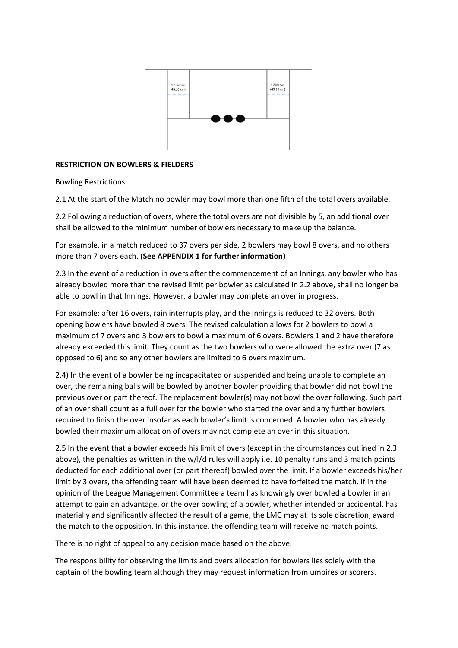

## **RESTRICTION ON BOWLERS & FIELDERS**

Bowling Restrictions

2.1 At the start of the Match no bowler may bowl more than one fifth of the total overs available.

2.2 Following a reduction of overs, where the total overs are not divisible by 5, an additional over shall be allowed to the minimum number of bowlers necessary to make up the balance.

For example, in a match reduced to 37 overs per side, 2 bowlers may bowl 8 overs, and no others more than 7 overs each. **(See APPENDIX 1 for further information)**

2.3 In the event of a reduction in overs after the commencement of an Innings, any bowler who has already bowled more than the revised limit per bowler as calculated in 2.2 above, shall no longer be able to bowl in that Innings. However, a bowler may complete an over in progress.

For example: after 16 overs, rain interrupts play, and the Innings is reduced to 32 overs. Both opening bowlers have bowled 8 overs. The revised calculation allows for 2 bowlers to bowl a maximum of 7 overs and 3 bowlers to bowl a maximum of 6 overs. Bowlers 1 and 2 have therefore already exceeded this limit. They count as the two bowlers who were allowed the extra over (7 as opposed to 6) and so any other bowlers are limited to 6 overs maximum.

2.4) In the event of a bowler being incapacitated or suspended and being unable to complete an over, the remaining balls will be bowled by another bowler providing that bowler did not bowl the previous over or part thereof. The replacement bowler(s) may not bowl the over following. Such part of an over shall count as a full over for the bowler who started the over and any further bowlers required to finish the over insofar as each bowler's limit is concerned. A bowler who has already bowled their maximum allocation of overs may not complete an over in this situation.

2.5 In the event that a bowler exceeds his limit of overs (except in the circumstances outlined in 2.3 above), the penalties as written in the w/l/d rules will apply i.e. 10 penalty runs and 3 match points deducted for each additional over (or part thereof) bowled over the limit. If a bowler exceeds his/her limit by 3 overs, the offending team will have been deemed to have forfeited the match. If in the opinion of the League Management Committee a team has knowingly over bowled a bowler in an attempt to gain an advantage, or the over bowling of a bowler, whether intended or accidental, has materially and significantly affected the result of a game, the LMC may at its sole discretion, award the match to the opposition. In this instance, the offending team will receive no match points.

There is no right of appeal to any decision made based on the above.

The responsibility for observing the limits and overs allocation for bowlers lies solely with the captain of the bowling team although they may request information from umpires or scorers.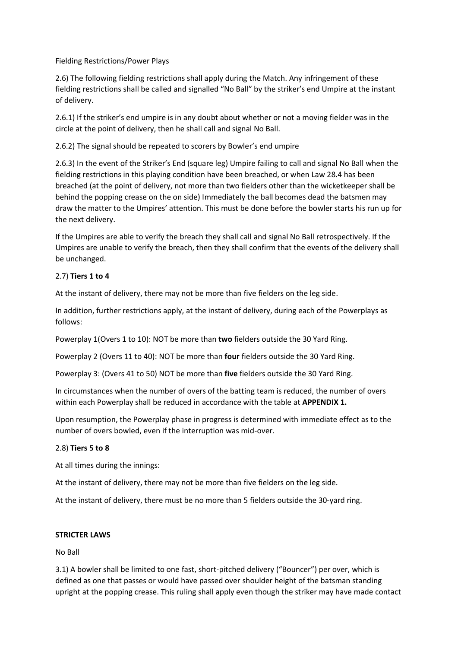Fielding Restrictions/Power Plays

2.6) The following fielding restrictions shall apply during the Match. Any infringement of these fielding restrictions shall be called and signalled "No Ball" by the striker's end Umpire at the instant of delivery.

2.6.1) If the striker's end umpire is in any doubt about whether or not a moving fielder was in the circle at the point of delivery, then he shall call and signal No Ball.

2.6.2) The signal should be repeated to scorers by Bowler's end umpire

2.6.3) In the event of the Striker's End (square leg) Umpire failing to call and signal No Ball when the fielding restrictions in this playing condition have been breached, or when Law 28.4 has been breached (at the point of delivery, not more than two fielders other than the wicketkeeper shall be behind the popping crease on the on side) Immediately the ball becomes dead the batsmen may draw the matter to the Umpires' attention. This must be done before the bowler starts his run up for the next delivery.

If the Umpires are able to verify the breach they shall call and signal No Ball retrospectively. If the Umpires are unable to verify the breach, then they shall confirm that the events of the delivery shall be unchanged.

# 2.7) **Tiers 1 to 4**

At the instant of delivery, there may not be more than five fielders on the leg side.

In addition, further restrictions apply, at the instant of delivery, during each of the Powerplays as follows:

Powerplay 1(Overs 1 to 10): NOT be more than **two** fielders outside the 30 Yard Ring.

Powerplay 2 (Overs 11 to 40): NOT be more than **four** fielders outside the 30 Yard Ring.

Powerplay 3: (Overs 41 to 50) NOT be more than **five** fielders outside the 30 Yard Ring.

In circumstances when the number of overs of the batting team is reduced, the number of overs within each Powerplay shall be reduced in accordance with the table at **APPENDIX 1.**

Upon resumption, the Powerplay phase in progress is determined with immediate effect as to the number of overs bowled, even if the interruption was mid-over.

# 2.8) **Tiers 5 to 8**

At all times during the innings:

At the instant of delivery, there may not be more than five fielders on the leg side.

At the instant of delivery, there must be no more than 5 fielders outside the 30-yard ring.

## **STRICTER LAWS**

No Ball

3.1) A bowler shall be limited to one fast, short-pitched delivery ("Bouncer") per over, which is defined as one that passes or would have passed over shoulder height of the batsman standing upright at the popping crease. This ruling shall apply even though the striker may have made contact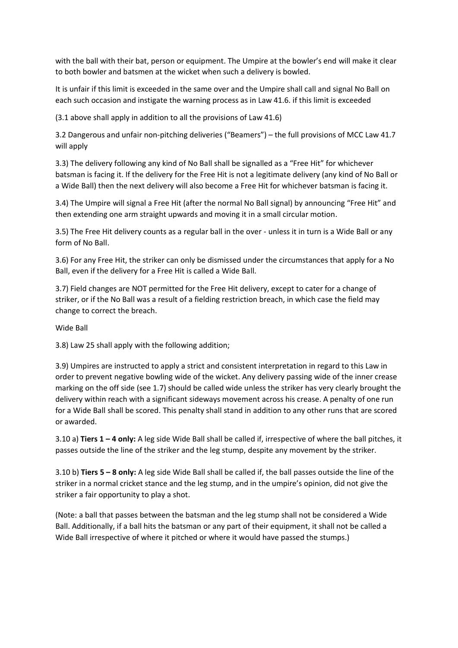with the ball with their bat, person or equipment. The Umpire at the bowler's end will make it clear to both bowler and batsmen at the wicket when such a delivery is bowled.

It is unfair if this limit is exceeded in the same over and the Umpire shall call and signal No Ball on each such occasion and instigate the warning process as in Law 41.6. if this limit is exceeded

(3.1 above shall apply in addition to all the provisions of Law 41.6)

3.2 Dangerous and unfair non-pitching deliveries ("Beamers") – the full provisions of MCC Law 41.7 will apply

3.3) The delivery following any kind of No Ball shall be signalled as a "Free Hit" for whichever batsman is facing it. If the delivery for the Free Hit is not a legitimate delivery (any kind of No Ball or a Wide Ball) then the next delivery will also become a Free Hit for whichever batsman is facing it.

3.4) The Umpire will signal a Free Hit (after the normal No Ball signal) by announcing "Free Hit" and then extending one arm straight upwards and moving it in a small circular motion.

3.5) The Free Hit delivery counts as a regular ball in the over - unless it in turn is a Wide Ball or any form of No Ball.

3.6) For any Free Hit, the striker can only be dismissed under the circumstances that apply for a No Ball, even if the delivery for a Free Hit is called a Wide Ball.

3.7) Field changes are NOT permitted for the Free Hit delivery, except to cater for a change of striker, or if the No Ball was a result of a fielding restriction breach, in which case the field may change to correct the breach.

Wide Ball

3.8) Law 25 shall apply with the following addition;

3.9) Umpires are instructed to apply a strict and consistent interpretation in regard to this Law in order to prevent negative bowling wide of the wicket. Any delivery passing wide of the inner crease marking on the off side (see 1.7) should be called wide unless the striker has very clearly brought the delivery within reach with a significant sideways movement across his crease. A penalty of one run for a Wide Ball shall be scored. This penalty shall stand in addition to any other runs that are scored or awarded.

3.10 a) **Tiers 1 – 4 only:** A leg side Wide Ball shall be called if, irrespective of where the ball pitches, it passes outside the line of the striker and the leg stump, despite any movement by the striker.

3.10 b) **Tiers 5 – 8 only:** A leg side Wide Ball shall be called if, the ball passes outside the line of the striker in a normal cricket stance and the leg stump, and in the umpire's opinion, did not give the striker a fair opportunity to play a shot.

(Note: a ball that passes between the batsman and the leg stump shall not be considered a Wide Ball. Additionally, if a ball hits the batsman or any part of their equipment, it shall not be called a Wide Ball irrespective of where it pitched or where it would have passed the stumps.)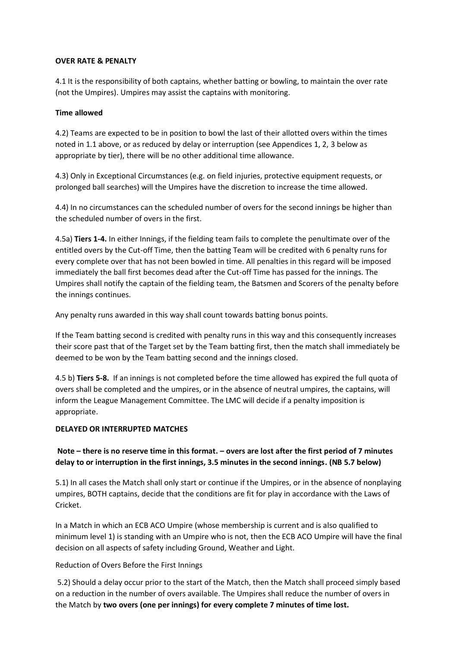#### **OVER RATE & PENALTY**

4.1 It is the responsibility of both captains, whether batting or bowling, to maintain the over rate (not the Umpires). Umpires may assist the captains with monitoring.

## **Time allowed**

4.2) Teams are expected to be in position to bowl the last of their allotted overs within the times noted in 1.1 above, or as reduced by delay or interruption (see Appendices 1, 2, 3 below as appropriate by tier), there will be no other additional time allowance.

4.3) Only in Exceptional Circumstances (e.g. on field injuries, protective equipment requests, or prolonged ball searches) will the Umpires have the discretion to increase the time allowed.

4.4) In no circumstances can the scheduled number of overs for the second innings be higher than the scheduled number of overs in the first.

4.5a) **Tiers 1-4.** In either Innings, if the fielding team fails to complete the penultimate over of the entitled overs by the Cut-off Time, then the batting Team will be credited with 6 penalty runs for every complete over that has not been bowled in time. All penalties in this regard will be imposed immediately the ball first becomes dead after the Cut-off Time has passed for the innings. The Umpires shall notify the captain of the fielding team, the Batsmen and Scorers of the penalty before the innings continues.

Any penalty runs awarded in this way shall count towards batting bonus points.

If the Team batting second is credited with penalty runs in this way and this consequently increases their score past that of the Target set by the Team batting first, then the match shall immediately be deemed to be won by the Team batting second and the innings closed.

4.5 b) **Tiers 5-8.** If an innings is not completed before the time allowed has expired the full quota of overs shall be completed and the umpires, or in the absence of neutral umpires, the captains, will inform the League Management Committee. The LMC will decide if a penalty imposition is appropriate.

# **DELAYED OR INTERRUPTED MATCHES**

# **Note – there is no reserve time in this format. – overs are lost after the first period of 7 minutes delay to or interruption in the first innings, 3.5 minutes in the second innings. (NB 5.7 below)**

5.1) In all cases the Match shall only start or continue if the Umpires, or in the absence of nonplaying umpires, BOTH captains, decide that the conditions are fit for play in accordance with the Laws of Cricket.

In a Match in which an ECB ACO Umpire (whose membership is current and is also qualified to minimum level 1) is standing with an Umpire who is not, then the ECB ACO Umpire will have the final decision on all aspects of safety including Ground, Weather and Light.

## Reduction of Overs Before the First Innings

5.2) Should a delay occur prior to the start of the Match, then the Match shall proceed simply based on a reduction in the number of overs available. The Umpires shall reduce the number of overs in the Match by **two overs (one per innings) for every complete 7 minutes of time lost.**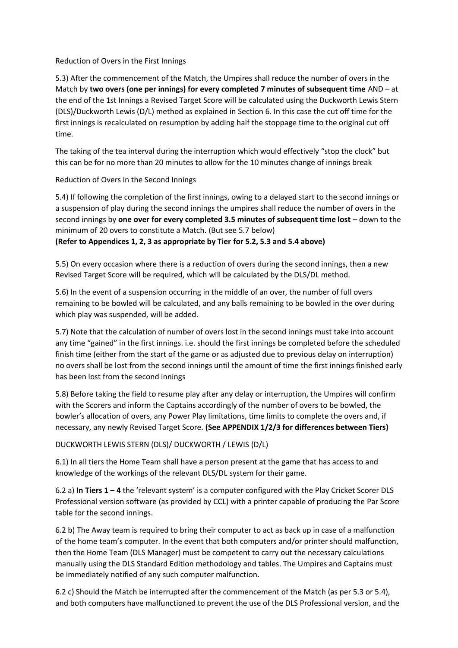Reduction of Overs in the First Innings

5.3) After the commencement of the Match, the Umpires shall reduce the number of overs in the Match by **two overs (one per innings) for every completed 7 minutes of subsequent time** AND – at the end of the 1st Innings a Revised Target Score will be calculated using the Duckworth Lewis Stern (DLS)/Duckworth Lewis (D/L) method as explained in Section 6. In this case the cut off time for the first innings is recalculated on resumption by adding half the stoppage time to the original cut off time.

The taking of the tea interval during the interruption which would effectively "stop the clock" but this can be for no more than 20 minutes to allow for the 10 minutes change of innings break

Reduction of Overs in the Second Innings

5.4) If following the completion of the first innings, owing to a delayed start to the second innings or a suspension of play during the second innings the umpires shall reduce the number of overs in the second innings by **one over for every completed 3.5 minutes of subsequent time lost** – down to the minimum of 20 overs to constitute a Match. (But see 5.7 below)

**(Refer to Appendices 1, 2, 3 as appropriate by Tier for 5.2, 5.3 and 5.4 above)**

5.5) On every occasion where there is a reduction of overs during the second innings, then a new Revised Target Score will be required, which will be calculated by the DLS/DL method.

5.6) In the event of a suspension occurring in the middle of an over, the number of full overs remaining to be bowled will be calculated, and any balls remaining to be bowled in the over during which play was suspended, will be added.

5.7) Note that the calculation of number of overs lost in the second innings must take into account any time "gained" in the first innings. i.e. should the first innings be completed before the scheduled finish time (either from the start of the game or as adjusted due to previous delay on interruption) no overs shall be lost from the second innings until the amount of time the first innings finished early has been lost from the second innings

5.8) Before taking the field to resume play after any delay or interruption, the Umpires will confirm with the Scorers and inform the Captains accordingly of the number of overs to be bowled, the bowler's allocation of overs, any Power Play limitations, time limits to complete the overs and, if necessary, any newly Revised Target Score. **(See APPENDIX 1/2/3 for differences between Tiers)**

DUCKWORTH LEWIS STERN (DLS)/ DUCKWORTH / LEWIS (D/L)

6.1) In all tiers the Home Team shall have a person present at the game that has access to and knowledge of the workings of the relevant DLS/DL system for their game.

6.2 a) **In Tiers 1 – 4** the 'relevant system' is a computer configured with the Play Cricket Scorer DLS Professional version software (as provided by CCL) with a printer capable of producing the Par Score table for the second innings.

6.2 b) The Away team is required to bring their computer to act as back up in case of a malfunction of the home team's computer. In the event that both computers and/or printer should malfunction, then the Home Team (DLS Manager) must be competent to carry out the necessary calculations manually using the DLS Standard Edition methodology and tables. The Umpires and Captains must be immediately notified of any such computer malfunction.

6.2 c) Should the Match be interrupted after the commencement of the Match (as per 5.3 or 5.4), and both computers have malfunctioned to prevent the use of the DLS Professional version, and the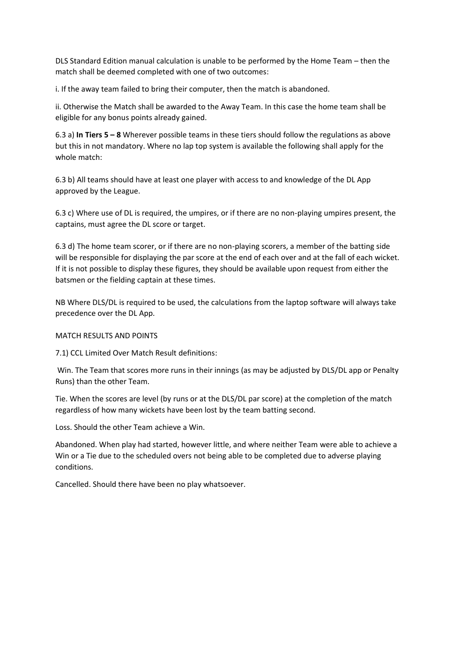DLS Standard Edition manual calculation is unable to be performed by the Home Team – then the match shall be deemed completed with one of two outcomes:

i. If the away team failed to bring their computer, then the match is abandoned.

ii. Otherwise the Match shall be awarded to the Away Team. In this case the home team shall be eligible for any bonus points already gained.

6.3 a) **In Tiers 5 – 8** Wherever possible teams in these tiers should follow the regulations as above but this in not mandatory. Where no lap top system is available the following shall apply for the whole match:

6.3 b) All teams should have at least one player with access to and knowledge of the DL App approved by the League.

6.3 c) Where use of DL is required, the umpires, or if there are no non-playing umpires present, the captains, must agree the DL score or target.

6.3 d) The home team scorer, or if there are no non-playing scorers, a member of the batting side will be responsible for displaying the par score at the end of each over and at the fall of each wicket. If it is not possible to display these figures, they should be available upon request from either the batsmen or the fielding captain at these times.

NB Where DLS/DL is required to be used, the calculations from the laptop software will always take precedence over the DL App.

## MATCH RESULTS AND POINTS

7.1) CCL Limited Over Match Result definitions:

Win. The Team that scores more runs in their innings (as may be adjusted by DLS/DL app or Penalty Runs) than the other Team.

Tie. When the scores are level (by runs or at the DLS/DL par score) at the completion of the match regardless of how many wickets have been lost by the team batting second.

Loss. Should the other Team achieve a Win.

Abandoned. When play had started, however little, and where neither Team were able to achieve a Win or a Tie due to the scheduled overs not being able to be completed due to adverse playing conditions.

Cancelled. Should there have been no play whatsoever.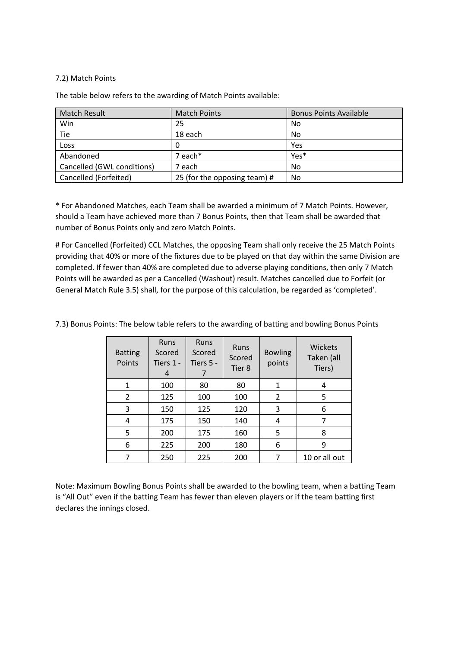## 7.2) Match Points

The table below refers to the awarding of Match Points available:

| <b>Match Result</b>        | <b>Match Points</b>          | <b>Bonus Points Available</b> |
|----------------------------|------------------------------|-------------------------------|
| Win                        | 25                           | No                            |
| Tie                        | 18 each                      | No                            |
| Loss                       |                              | Yes                           |
| Abandoned                  | 7 each*                      | Yes*                          |
| Cancelled (GWL conditions) | 7 each                       | No                            |
| Cancelled (Forfeited)      | 25 (for the opposing team) # | No                            |

\* For Abandoned Matches, each Team shall be awarded a minimum of 7 Match Points. However, should a Team have achieved more than 7 Bonus Points, then that Team shall be awarded that number of Bonus Points only and zero Match Points.

# For Cancelled (Forfeited) CCL Matches, the opposing Team shall only receive the 25 Match Points providing that 40% or more of the fixtures due to be played on that day within the same Division are completed. If fewer than 40% are completed due to adverse playing conditions, then only 7 Match Points will be awarded as per a Cancelled (Washout) result. Matches cancelled due to Forfeit (or General Match Rule 3.5) shall, for the purpose of this calculation, be regarded as 'completed'.

| <b>Batting</b><br>Points | <b>Runs</b><br>Scored<br>Tiers 1 -<br>4 | <b>Runs</b><br>Scored<br>Tiers 5 - | Runs<br>Scored<br>Tier 8 | <b>Bowling</b><br>points | <b>Wickets</b><br>Taken (all<br>Tiers) |
|--------------------------|-----------------------------------------|------------------------------------|--------------------------|--------------------------|----------------------------------------|
| 1                        | 100                                     | 80                                 | 80                       | 1                        | 4                                      |
| 2                        | 125                                     | 100                                | 100                      | $\overline{2}$           | 5                                      |
| 3                        | 150                                     | 125                                | 120                      | 3                        | 6                                      |
| 4                        | 175                                     | 150                                | 140                      | 4                        | 7                                      |
| 5                        | 200                                     | 175                                | 160                      | 5                        | 8                                      |
| 6                        | 225                                     | 200                                | 180                      | 6                        | 9                                      |
|                          | 250                                     | 225                                | 200                      |                          | 10 or all out                          |

7.3) Bonus Points: The below table refers to the awarding of batting and bowling Bonus Points

Note: Maximum Bowling Bonus Points shall be awarded to the bowling team, when a batting Team is "All Out" even if the batting Team has fewer than eleven players or if the team batting first declares the innings closed.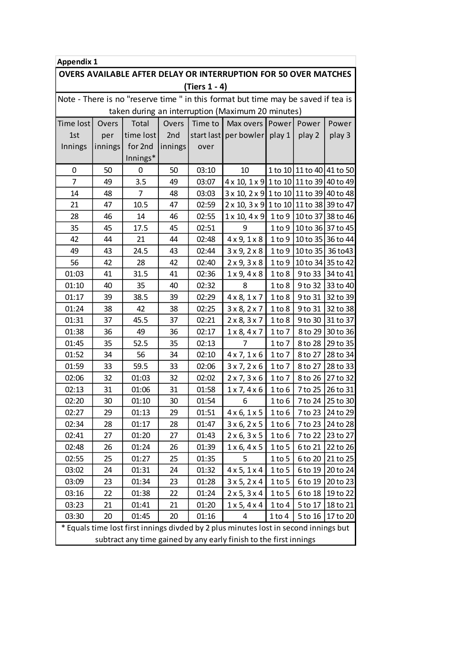| <b>Appendix 1</b>                                                                    |         |           |         |         |                                         |            |                           |                   |
|--------------------------------------------------------------------------------------|---------|-----------|---------|---------|-----------------------------------------|------------|---------------------------|-------------------|
| <b>OVERS AVAILABLE AFTER DELAY OR INTERRUPTION FOR 50 OVER MATCHES</b>               |         |           |         |         |                                         |            |                           |                   |
| (Tiers 1 - 4)                                                                        |         |           |         |         |                                         |            |                           |                   |
| Note - There is no "reserve time " in this format but time may be saved if tea is    |         |           |         |         |                                         |            |                           |                   |
| taken during an interruption (Maximum 20 minutes)                                    |         |           |         |         |                                         |            |                           |                   |
| Time lost                                                                            | Overs   | Total     | Overs   | Time to | Max overs                               | Power      | Power                     | Power             |
| 1st                                                                                  | per     | time lost | 2nd     |         | start last   per bowler   play 1        |            | play 2                    | play 3            |
| Innings                                                                              | innings | for 2nd   | innings | over    |                                         |            |                           |                   |
|                                                                                      |         | Innings*  |         |         |                                         |            |                           |                   |
| 0                                                                                    | 50      | 0         | 50      | 03:10   | 10                                      |            | 1 to 10 11 to 40 41 to 50 |                   |
| $\overline{7}$                                                                       | 49      | 3.5       | 49      | 03:07   | 4 x 10, 1 x 9 1 to 10 11 to 39 40 to 49 |            |                           |                   |
| 14                                                                                   | 48      | 7         | 48      | 03:03   | 3 x 10, 2 x 9 1 to 10 11 to 39 40 to 48 |            |                           |                   |
| 21                                                                                   | 47      | 10.5      | 47      | 02:59   | 2 x 10, 3 x 9 1 to 10 11 to 38 39 to 47 |            |                           |                   |
| 28                                                                                   | 46      | 14        | 46      | 02:55   | $1 \times 10, 4 \times 9$               | $1$ to $9$ |                           | 10 to 37 38 to 46 |
| 35                                                                                   | 45      | 17.5      | 45      | 02:51   | 9                                       | 1 to 9     |                           | 10 to 36 37 to 45 |
| 42                                                                                   | 44      | 21        | 44      | 02:48   | $4 \times 9$ , $1 \times 8$             | 1 to 9     |                           | 10 to 35 36 to 44 |
| 49                                                                                   | 43      | 24.5      | 43      | 02:44   | $3 \times 9$ , $2 \times 8$             | 1 to 9     | 10 to 35                  | 36 to 43          |
| 56                                                                                   | 42      | 28        | 42      | 02:40   | $2 \times 9$ , $3 \times 8$             | 1 to 9     |                           | 10 to 34 35 to 42 |
| 01:03                                                                                | 41      | 31.5      | 41      | 02:36   | $1 \times 9$ , $4 \times 8$             | 1 to 8     | 9 to 33                   | 34 to 41          |
| 01:10                                                                                | 40      | 35        | 40      | 02:32   | 8                                       | 1 to 8     | 9 to 32                   | 33 to 40          |
| 01:17                                                                                | 39      | 38.5      | 39      | 02:29   | $4 \times 8$ , $1 \times 7$             | 1 to 8     | 9 to 31                   | 32 to 39          |
| 01:24                                                                                | 38      | 42        | 38      | 02:25   | $3 \times 8, 2 \times 7$                | 1 to 8     | 9 to 31                   | 32 to 38          |
| 01:31                                                                                | 37      | 45.5      | 37      | 02:21   | $2 \times 8$ , $3 \times 7$             | 1 to 8     | 9 to 30                   | 31 to 37          |
| 01:38                                                                                | 36      | 49        | 36      | 02:17   | $1 \times 8$ , $4 \times 7$             | 1 to 7     | 8 to 29                   | 30 to 36          |
| 01:45                                                                                | 35      | 52.5      | 35      | 02:13   | 7                                       | 1 to 7     | 8 to 28                   | 29 to 35          |
| 01:52                                                                                | 34      | 56        | 34      | 02:10   | $4 \times 7$ , $1 \times 6$             | 1 to 7     | 8 to 27                   | 28 to 34          |
| 01:59                                                                                | 33      | 59.5      | 33      | 02:06   | 3x7, 2x6                                | 1 to 7     | 8 to 27                   | 28 to 33          |
| 02:06                                                                                | 32      | 01:03     | 32      | 02:02   | $2 \times 7, 3 \times 6$                | 1 to 7     | 8 to 26                   | 27 to 32          |
| 02:13                                                                                | 31      | 01:06     | 31      | 01:58   | 1x7, 4x6                                | 1 to 6     | 7 to 25                   | 26 to 31          |
| 02:20                                                                                | 30      | 01:10     | 30      | 01:54   | 6                                       | $1$ to $6$ |                           | 7 to 24 25 to 30  |
| 02:27                                                                                | 29      | 01:13     | 29      | 01:51   | $4 \times 6, 1 \times 5$                | 1 to 6     | 7 to 23                   | 24 to 29          |
| 02:34                                                                                | 28      | 01:17     | 28      | 01:47   | $3 \times 6, 2 \times 5$                | 1 to 6     | 7 to 23                   | 24 to 28          |
| 02:41                                                                                | 27      | 01:20     | 27      | 01:43   | $2 \times 6, 3 \times 5$                | 1 to 6     | 7 to 22                   | 23 to 27          |
| 02:48                                                                                | 26      | 01:24     | 26      | 01:39   | 1x6, 4x5                                | 1 to 5     | 6 to 21                   | 22 to 26          |
| 02:55                                                                                | 25      | 01:27     | 25      | 01:35   | 5                                       | 1 to 5     | 6 to 20                   | 21 to 25          |
| 03:02                                                                                | 24      | 01:31     | 24      | 01:32   | $4 \times 5$ , $1 \times 4$             | $1$ to 5   | 6 to 19                   | 20 to 24          |
| 03:09                                                                                | 23      | 01:34     | 23      | 01:28   | 3x 5, 2x 4                              | 1 to 5     | 6 to 19                   | 20 to 23          |
| 03:16                                                                                | 22      | 01:38     | 22      | 01:24   | $2 \times 5, 3 \times 4$                | 1 to 5     | 6 to 18                   | 19 to 22          |
| 03:23                                                                                | 21      | 01:41     | 21      | 01:20   | $1 \times 5, 4 \times 4$                | $1$ to $4$ | 5 to 17                   | 18 to 21          |
| 03:30                                                                                | 20      | 01:45     | 20      | 01:16   | 4                                       | 1 to 4     | 5 to 16                   | 17 to 20          |
| * Equals time lost first innings divded by 2 plus minutes lost in second innings but |         |           |         |         |                                         |            |                           |                   |
| subtract any time gained by any early finish to the first innings                    |         |           |         |         |                                         |            |                           |                   |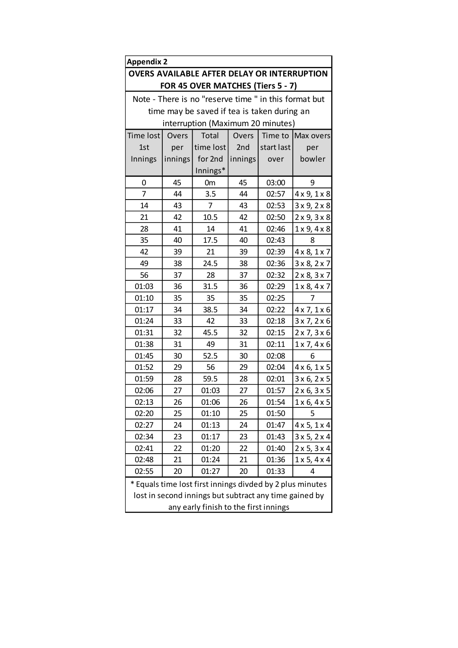| <b>Appendix 2</b>                                         |                                                 |                                             |         |            |                             |  |  |  |
|-----------------------------------------------------------|-------------------------------------------------|---------------------------------------------|---------|------------|-----------------------------|--|--|--|
| <b>OVERS AVAILABLE AFTER DELAY OR INTERRUPTION</b>        |                                                 |                                             |         |            |                             |  |  |  |
| FOR 45 OVER MATCHES (Tiers 5 - 7)                         |                                                 |                                             |         |            |                             |  |  |  |
| Note - There is no "reserve time " in this format but     |                                                 |                                             |         |            |                             |  |  |  |
|                                                           |                                                 | time may be saved if tea is taken during an |         |            |                             |  |  |  |
|                                                           |                                                 | interruption (Maximum 20 minutes)           |         |            |                             |  |  |  |
| Time lost                                                 | Overs<br>Time to<br>Overs<br>Total<br>Max overs |                                             |         |            |                             |  |  |  |
| 1st                                                       | per                                             | time lost                                   | 2nd     | start last | per                         |  |  |  |
| Innings                                                   | innings                                         | for 2nd                                     | innings | over       | bowler                      |  |  |  |
|                                                           |                                                 | Innings*                                    |         |            |                             |  |  |  |
| 0                                                         | 45                                              | 0 <sub>m</sub>                              | 45      | 03:00      | 9                           |  |  |  |
| $\overline{7}$                                            | 44                                              | 3.5                                         | 44      | 02:57      | $4 \times 9$ , $1 \times 8$ |  |  |  |
| 14                                                        | 43                                              | 7                                           | 43      | 02:53      | $3 \times 9, 2 \times 8$    |  |  |  |
| 21                                                        | 42                                              | 10.5                                        | 42      | 02:50      | $2 \times 9$ , $3 \times 8$ |  |  |  |
| 28                                                        | 41                                              | 14                                          | 41      | 02:46      | $1 \times 9, 4 \times 8$    |  |  |  |
| 35                                                        | 40                                              | 17.5                                        | 40      | 02:43      | 8                           |  |  |  |
| 42                                                        | 39                                              | 21                                          | 39      | 02:39      | $4 \times 8, 1 \times 7$    |  |  |  |
| 49                                                        | 38                                              | 24.5                                        | 38      | 02:36      | $3 \times 8$ , $2 \times 7$ |  |  |  |
| 56                                                        | 37                                              | 28                                          | 37      | 02:32      | $2 \times 8, 3 \times 7$    |  |  |  |
| 01:03                                                     | 36                                              | 31.5                                        | 36      | 02:29      | $1 \times 8$ , $4 \times 7$ |  |  |  |
| 01:10                                                     | 35                                              | 35                                          | 35      | 02:25      | 7                           |  |  |  |
| 01:17                                                     | 34                                              | 38.5                                        | 34      | 02:22      | $4 \times 7, 1 \times 6$    |  |  |  |
| 01:24                                                     | 33                                              | 42                                          | 33      | 02:18      | 3x7, 2x6                    |  |  |  |
| 01:31                                                     | 32                                              | 45.5                                        | 32      | 02:15      | $2 \times 7, 3 \times 6$    |  |  |  |
| 01:38                                                     | 31                                              | 49                                          | 31      | 02:11      | $1 \times 7, 4 \times 6$    |  |  |  |
| 01:45                                                     | 30                                              | 52.5                                        | 30      | 02:08      | 6                           |  |  |  |
| 01:52                                                     | 29                                              | 56                                          | 29      | 02:04      | $4 \times 6, 1 \times 5$    |  |  |  |
| 01:59                                                     | 28                                              | 59.5                                        | 28      | 02:01      | 3x 6, 2x 5                  |  |  |  |
| 02:06                                                     | 27                                              | 01:03                                       | 27      | 01:57      | $2 \times 6, 3 \times 5$    |  |  |  |
| 02:13                                                     | 26                                              | 01:06                                       | 26      | 01:54      | $1 \times 6$ , $4 \times 5$ |  |  |  |
| 02:20                                                     | 25                                              | 01:10                                       | 25      | 01:50      | 5                           |  |  |  |
| 02:27                                                     | 24                                              | 01:13                                       | 24      | 01:47      | $4 \times 5, 1 \times 4$    |  |  |  |
| 02:34                                                     | 23                                              | 01:17                                       | 23      | 01:43      | 3x 5, 2x 4                  |  |  |  |
| 02:41                                                     | 22                                              | 01:20                                       | 22      | 01:40      | $2 \times 5, 3 \times 4$    |  |  |  |
| 02:48                                                     | 21                                              | 01:24                                       | 21      | 01:36      | $1 \times 5, 4 \times 4$    |  |  |  |
| 02:55<br>20<br>01:27<br>20<br>01:33<br>4                  |                                                 |                                             |         |            |                             |  |  |  |
| * Equals time lost first innings divded by 2 plus minutes |                                                 |                                             |         |            |                             |  |  |  |
| lost in second innings but subtract any time gained by    |                                                 |                                             |         |            |                             |  |  |  |
| any early finish to the first innings                     |                                                 |                                             |         |            |                             |  |  |  |